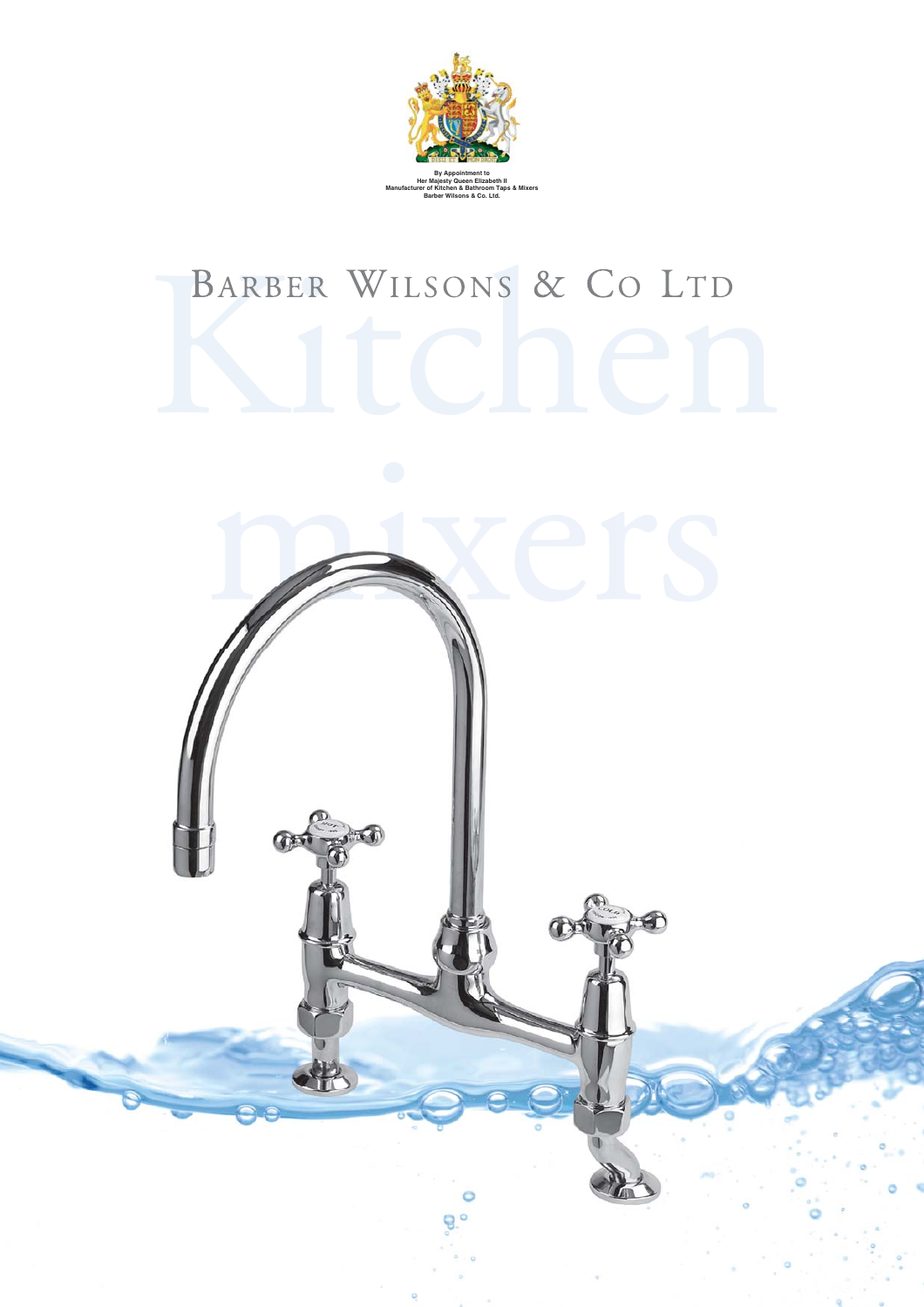

## BARBER WILSONS & CO LTD

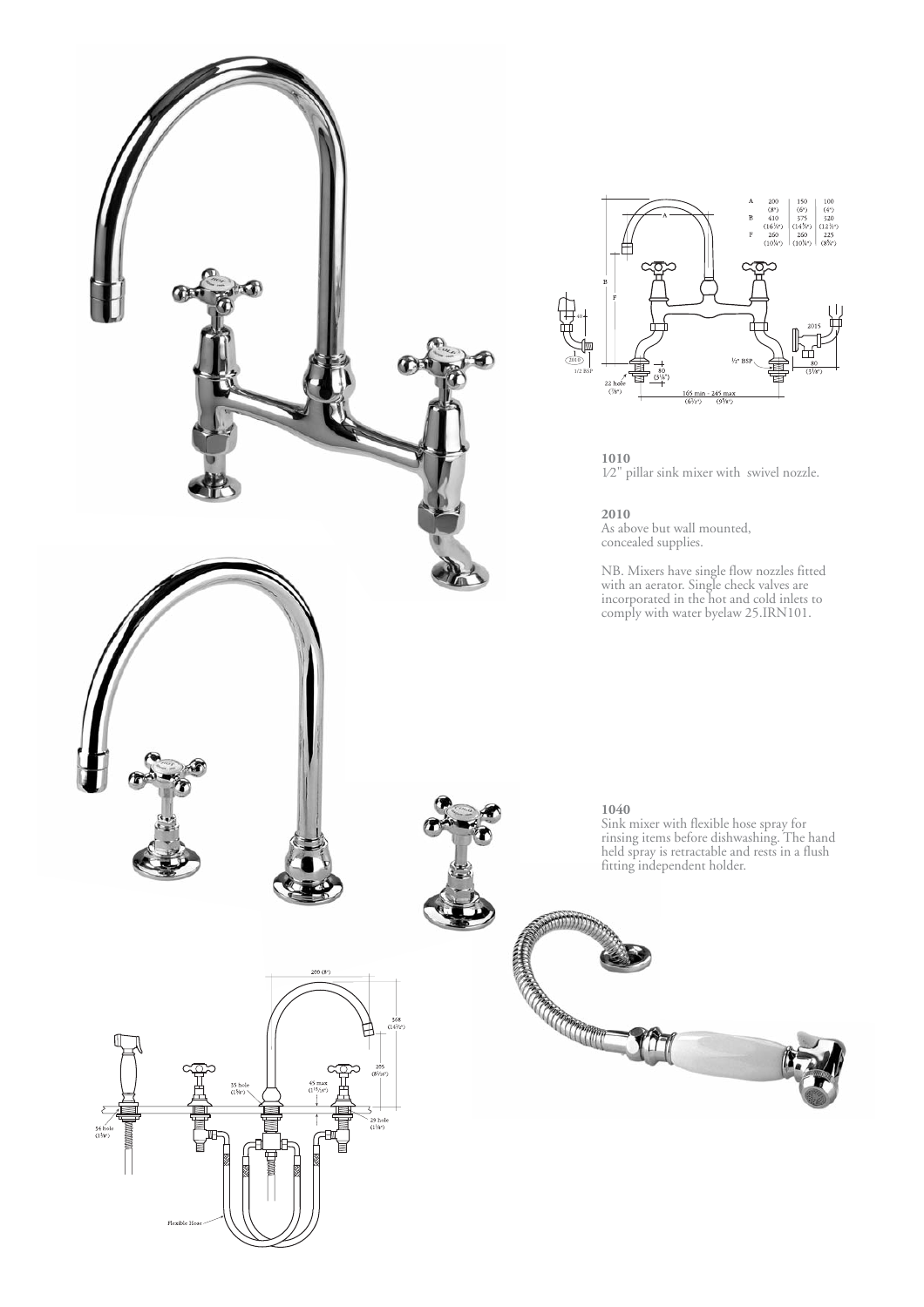



**1010**  1⁄2" pillar sink mixer with swivel nozzle.

**2010**

As above but wall mounted, concealed supplies.

NB. Mixers have single flow nozzles fitted with an aerator. Single check valves are incorporated in the hot and cold inlets to comply with water byelaw 25.IRN101.

## **1040**

Sink mixer with flexible hose spray for rinsing items before dishwashing. The hand held spray is retractable and rests in a flush fitting independent holder.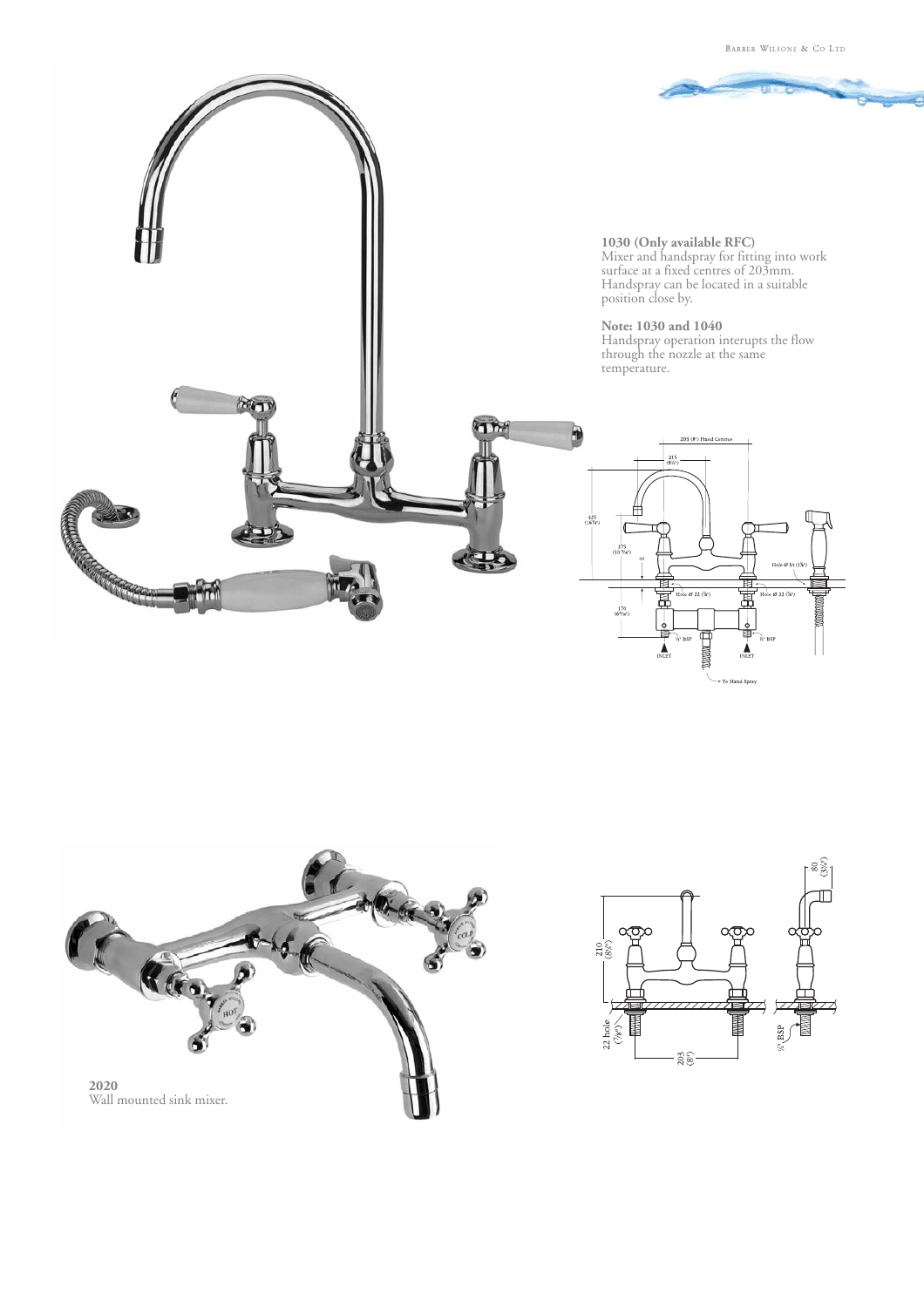